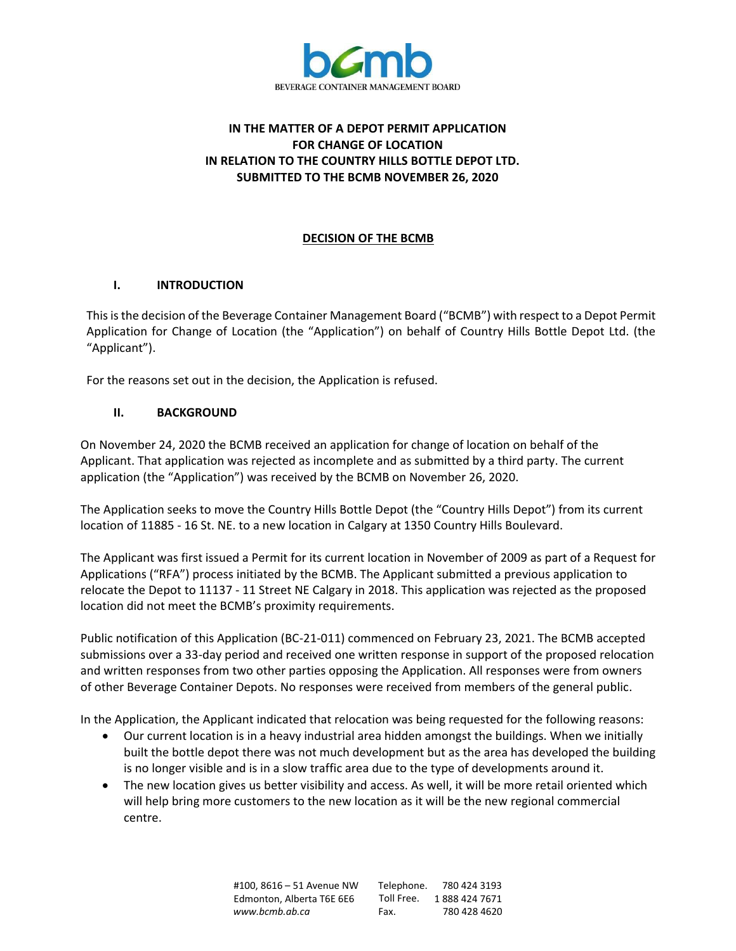

# **IN THE MATTER OF A DEPOT PERMIT APPLICATION FOR CHANGE OF LOCATION IN RELATION TO THE COUNTRY HILLS BOTTLE DEPOT LTD. SUBMITTED TO THE BCMB NOVEMBER 26, 2020**

# **DECISION OF THE BCMB**

### **I. INTRODUCTION**

This is the decision of the Beverage Container Management Board ("BCMB") with respect to a Depot Permit Application for Change of Location (the "Application") on behalf of Country Hills Bottle Depot Ltd. (the "Applicant").

For the reasons set out in the decision, the Application is refused.

# **II. BACKGROUND**

On November 24, 2020 the BCMB received an application for change of location on behalf of the Applicant. That application was rejected as incomplete and as submitted by a third party. The current application (the "Application") was received by the BCMB on November 26, 2020.

The Application seeks to move the Country Hills Bottle Depot (the "Country Hills Depot") from its current location of 11885 - 16 St. NE. to a new location in Calgary at 1350 Country Hills Boulevard.

The Applicant was first issued a Permit for its current location in November of 2009 as part of a Request for Applications ("RFA") process initiated by the BCMB. The Applicant submitted a previous application to relocate the Depot to 11137 - 11 Street NE Calgary in 2018. This application was rejected as the proposed location did not meet the BCMB's proximity requirements.

Public notification of this Application (BC-21-011) commenced on February 23, 2021. The BCMB accepted submissions over a 33-day period and received one written response in support of the proposed relocation and written responses from two other parties opposing the Application. All responses were from owners of other Beverage Container Depots. No responses were received from members of the general public.

In the Application, the Applicant indicated that relocation was being requested for the following reasons:

- Our current location is in a heavy industrial area hidden amongst the buildings. When we initially built the bottle depot there was not much development but as the area has developed the building is no longer visible and is in a slow traffic area due to the type of developments around it.
- The new location gives us better visibility and access. As well, it will be more retail oriented which will help bring more customers to the new location as it will be the new regional commercial centre.

#100, 8616 – 51 Avenue NW Edmonton, Alberta T6E 6E6 *[www.bcmb.ab.ca](http://www.bcmb.ab.ca/)* Telephone. 780 424 3193 Toll Free. 1 888 424 7671 Fax. 780 428 4620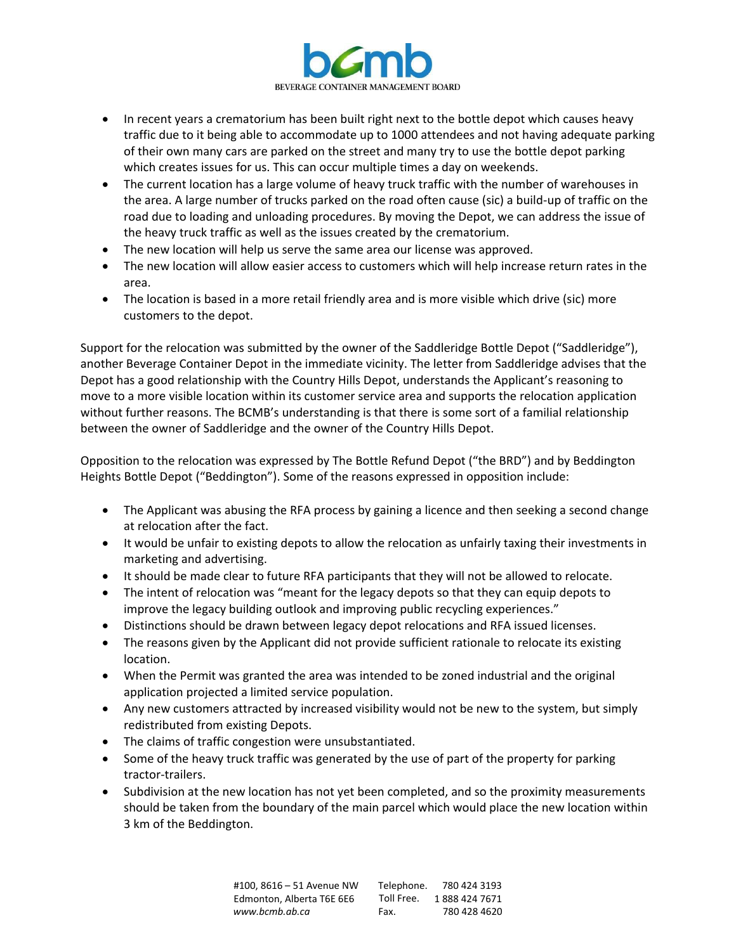

- In recent years a crematorium has been built right next to the bottle depot which causes heavy traffic due to it being able to accommodate up to 1000 attendees and not having adequate parking of their own many cars are parked on the street and many try to use the bottle depot parking which creates issues for us. This can occur multiple times a day on weekends.
- The current location has a large volume of heavy truck traffic with the number of warehouses in the area. A large number of trucks parked on the road often cause (sic) a build-up of traffic on the road due to loading and unloading procedures. By moving the Depot, we can address the issue of the heavy truck traffic as well as the issues created by the crematorium.
- The new location will help us serve the same area our license was approved.
- The new location will allow easier access to customers which will help increase return rates in the area.
- The location is based in a more retail friendly area and is more visible which drive (sic) more customers to the depot.

Support for the relocation was submitted by the owner of the Saddleridge Bottle Depot ("Saddleridge"), another Beverage Container Depot in the immediate vicinity. The letter from Saddleridge advises that the Depot has a good relationship with the Country Hills Depot, understands the Applicant's reasoning to move to a more visible location within its customer service area and supports the relocation application without further reasons. The BCMB's understanding is that there is some sort of a familial relationship between the owner of Saddleridge and the owner of the Country Hills Depot.

Opposition to the relocation was expressed by The Bottle Refund Depot ("the BRD") and by Beddington Heights Bottle Depot ("Beddington"). Some of the reasons expressed in opposition include:

- The Applicant was abusing the RFA process by gaining a licence and then seeking a second change at relocation after the fact.
- It would be unfair to existing depots to allow the relocation as unfairly taxing their investments in marketing and advertising.
- It should be made clear to future RFA participants that they will not be allowed to relocate.
- The intent of relocation was "meant for the legacy depots so that they can equip depots to improve the legacy building outlook and improving public recycling experiences."
- Distinctions should be drawn between legacy depot relocations and RFA issued licenses.
- The reasons given by the Applicant did not provide sufficient rationale to relocate its existing location.
- When the Permit was granted the area was intended to be zoned industrial and the original application projected a limited service population.
- Any new customers attracted by increased visibility would not be new to the system, but simply redistributed from existing Depots.
- The claims of traffic congestion were unsubstantiated.
- Some of the heavy truck traffic was generated by the use of part of the property for parking tractor-trailers.
- Subdivision at the new location has not yet been completed, and so the proximity measurements should be taken from the boundary of the main parcel which would place the new location within 3 km of the Beddington.

| #100.8616 - 51 Avenue NW  | Telephone. | 780 424 3193  |
|---------------------------|------------|---------------|
| Edmonton, Alberta T6E 6E6 | Toll Free. | 1888 424 7671 |
| www.bcmb.ab.ca            | Fax.       | 780 428 4620  |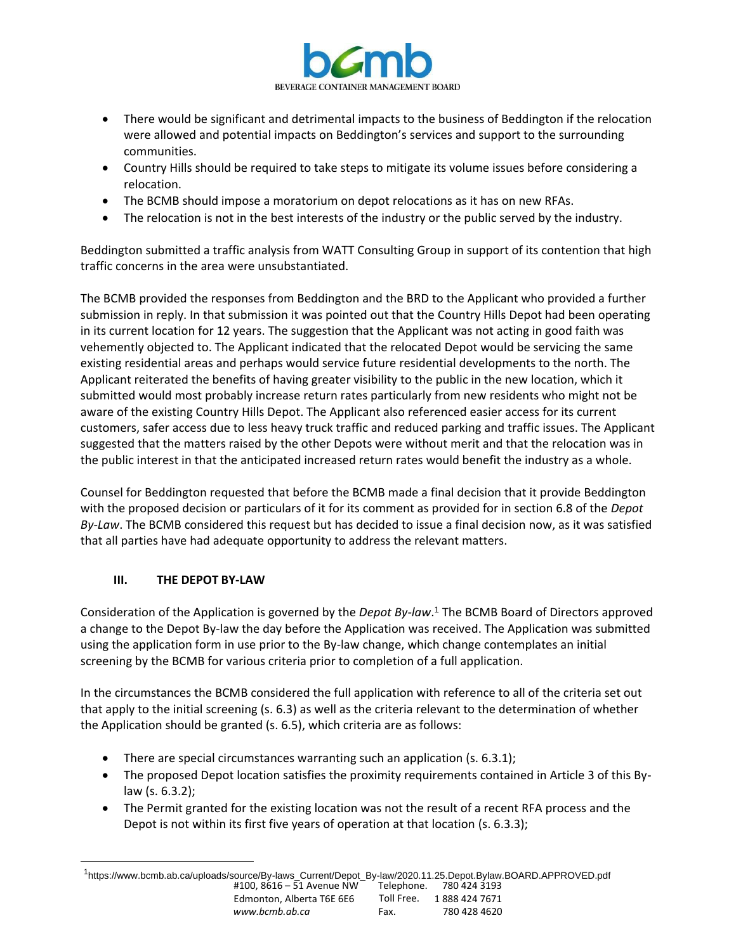

- There would be significant and detrimental impacts to the business of Beddington if the relocation were allowed and potential impacts on Beddington's services and support to the surrounding communities.
- Country Hills should be required to take steps to mitigate its volume issues before considering a relocation.
- The BCMB should impose a moratorium on depot relocations as it has on new RFAs.
- The relocation is not in the best interests of the industry or the public served by the industry.

Beddington submitted a traffic analysis from WATT Consulting Group in support of its contention that high traffic concerns in the area were unsubstantiated.

The BCMB provided the responses from Beddington and the BRD to the Applicant who provided a further submission in reply. In that submission it was pointed out that the Country Hills Depot had been operating in its current location for 12 years. The suggestion that the Applicant was not acting in good faith was vehemently objected to. The Applicant indicated that the relocated Depot would be servicing the same existing residential areas and perhaps would service future residential developments to the north. The Applicant reiterated the benefits of having greater visibility to the public in the new location, which it submitted would most probably increase return rates particularly from new residents who might not be aware of the existing Country Hills Depot. The Applicant also referenced easier access for its current customers, safer access due to less heavy truck traffic and reduced parking and traffic issues. The Applicant suggested that the matters raised by the other Depots were without merit and that the relocation was in the public interest in that the anticipated increased return rates would benefit the industry as a whole.

Counsel for Beddington requested that before the BCMB made a final decision that it provide Beddington with the proposed decision or particulars of it for its comment as provided for in section 6.8 of the *Depot By-Law*. The BCMB considered this request but has decided to issue a final decision now, as it was satisfied that all parties have had adequate opportunity to address the relevant matters.

# **III. THE DEPOT BY-LAW**

Consideration of the Application is governed by the *Depot By-law*. <sup>1</sup> The BCMB Board of Directors approved a change to the Depot By-law the day before the Application was received. The Application was submitted using the application form in use prior to the By-law change, which change contemplates an initial screening by the BCMB for various criteria prior to completion of a full application.

In the circumstances the BCMB considered the full application with reference to all of the criteria set out that apply to the initial screening (s. 6.3) as well as the criteria relevant to the determination of whether the Application should be granted (s. 6.5), which criteria are as follows:

- There are special circumstances warranting such an application (s. 6.3.1);
- The proposed Depot location satisfies the proximity requirements contained in Article 3 of this Bylaw (s. 6.3.2);
- The Permit granted for the existing location was not the result of a recent RFA process and the Depot is not within its first five years of operation at that location (s. 6.3.3);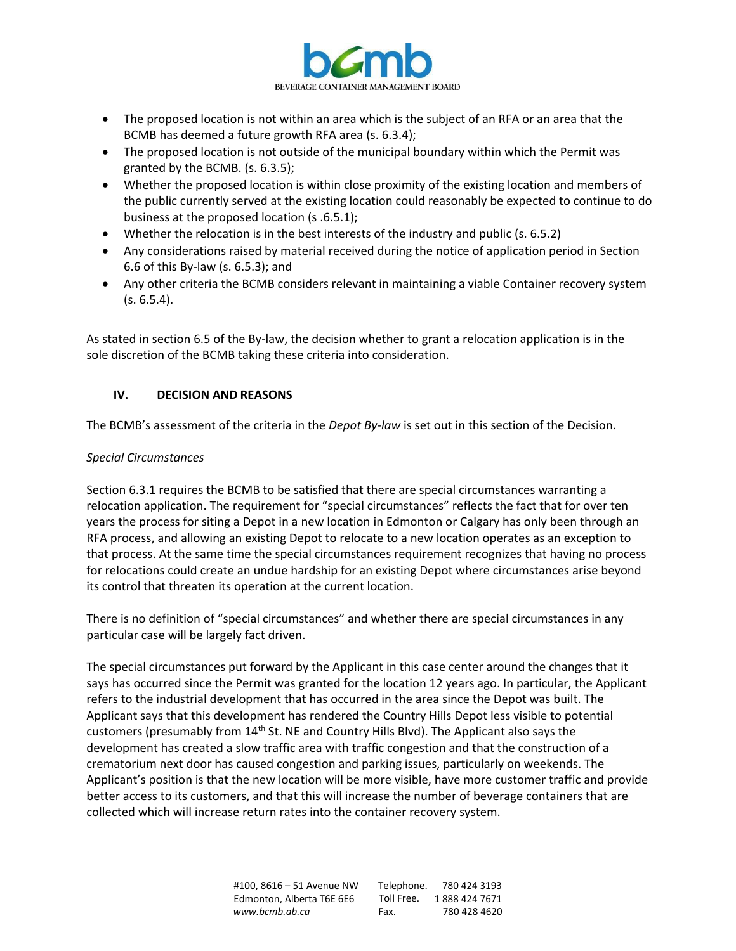

- The proposed location is not within an area which is the subject of an RFA or an area that the BCMB has deemed a future growth RFA area (s. 6.3.4);
- The proposed location is not outside of the municipal boundary within which the Permit was granted by the BCMB. (s. 6.3.5);
- Whether the proposed location is within close proximity of the existing location and members of the public currently served at the existing location could reasonably be expected to continue to do business at the proposed location (s .6.5.1);
- Whether the relocation is in the best interests of the industry and public (s. 6.5.2)
- Any considerations raised by material received during the notice of application period in Section 6.6 of this By-law (s. 6.5.3); and
- Any other criteria the BCMB considers relevant in maintaining a viable Container recovery system  $(s. 6.5.4)$ .

As stated in section 6.5 of the By-law, the decision whether to grant a relocation application is in the sole discretion of the BCMB taking these criteria into consideration.

# **IV. DECISION AND REASONS**

The BCMB's assessment of the criteria in the *Depot By-law* is set out in this section of the Decision.

### *Special Circumstances*

Section 6.3.1 requires the BCMB to be satisfied that there are special circumstances warranting a relocation application. The requirement for "special circumstances" reflects the fact that for over ten years the process for siting a Depot in a new location in Edmonton or Calgary has only been through an RFA process, and allowing an existing Depot to relocate to a new location operates as an exception to that process. At the same time the special circumstances requirement recognizes that having no process for relocations could create an undue hardship for an existing Depot where circumstances arise beyond its control that threaten its operation at the current location.

There is no definition of "special circumstances" and whether there are special circumstances in any particular case will be largely fact driven.

The special circumstances put forward by the Applicant in this case center around the changes that it says has occurred since the Permit was granted for the location 12 years ago. In particular, the Applicant refers to the industrial development that has occurred in the area since the Depot was built. The Applicant says that this development has rendered the Country Hills Depot less visible to potential customers (presumably from 14<sup>th</sup> St. NE and Country Hills Blvd). The Applicant also says the development has created a slow traffic area with traffic congestion and that the construction of a crematorium next door has caused congestion and parking issues, particularly on weekends. The Applicant's position is that the new location will be more visible, have more customer traffic and provide better access to its customers, and that this will increase the number of beverage containers that are collected which will increase return rates into the container recovery system.

> #100, 8616 – 51 Avenue NW Edmonton, Alberta T6E 6E6 *[www.bcmb.ab.ca](http://www.bcmb.ab.ca/)* Telephone. 780 424 3193 Toll Free. 1 888 424 7671 Fax. 780 428 4620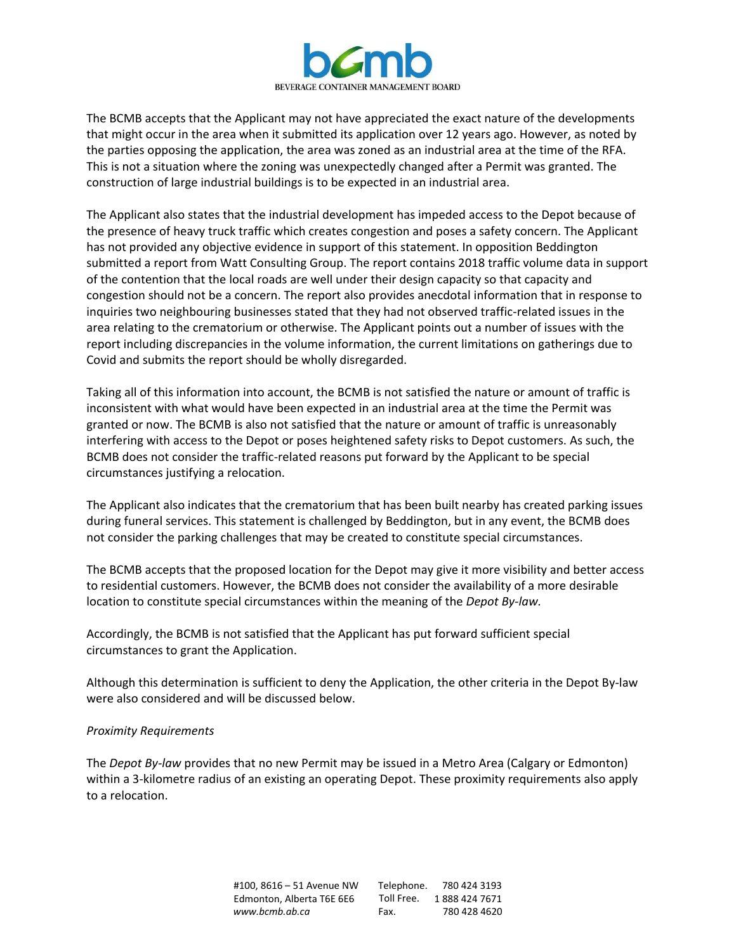

The BCMB accepts that the Applicant may not have appreciated the exact nature of the developments that might occur in the area when it submitted its application over 12 years ago. However, as noted by the parties opposing the application, the area was zoned as an industrial area at the time of the RFA. This is not a situation where the zoning was unexpectedly changed after a Permit was granted. The construction of large industrial buildings is to be expected in an industrial area.

The Applicant also states that the industrial development has impeded access to the Depot because of the presence of heavy truck traffic which creates congestion and poses a safety concern. The Applicant has not provided any objective evidence in support of this statement. In opposition Beddington submitted a report from Watt Consulting Group. The report contains 2018 traffic volume data in support of the contention that the local roads are well under their design capacity so that capacity and congestion should not be a concern. The report also provides anecdotal information that in response to inquiries two neighbouring businesses stated that they had not observed traffic-related issues in the area relating to the crematorium or otherwise. The Applicant points out a number of issues with the report including discrepancies in the volume information, the current limitations on gatherings due to Covid and submits the report should be wholly disregarded.

Taking all of this information into account, the BCMB is not satisfied the nature or amount of traffic is inconsistent with what would have been expected in an industrial area at the time the Permit was granted or now. The BCMB is also not satisfied that the nature or amount of traffic is unreasonably interfering with access to the Depot or poses heightened safety risks to Depot customers. As such, the BCMB does not consider the traffic-related reasons put forward by the Applicant to be special circumstances justifying a relocation.

The Applicant also indicates that the crematorium that has been built nearby has created parking issues during funeral services. This statement is challenged by Beddington, but in any event, the BCMB does not consider the parking challenges that may be created to constitute special circumstances.

The BCMB accepts that the proposed location for the Depot may give it more visibility and better access to residential customers. However, the BCMB does not consider the availability of a more desirable location to constitute special circumstances within the meaning of the *Depot By-law.* 

Accordingly, the BCMB is not satisfied that the Applicant has put forward sufficient special circumstances to grant the Application.

Although this determination is sufficient to deny the Application, the other criteria in the Depot By-law were also considered and will be discussed below.

### *Proximity Requirements*

The *Depot By-law* provides that no new Permit may be issued in a Metro Area (Calgary or Edmonton) within a 3-kilometre radius of an existing an operating Depot. These proximity requirements also apply to a relocation.

> #100, 8616 – 51 Avenue NW Edmonton, Alberta T6E 6E6 *[www.bcmb.ab.ca](http://www.bcmb.ab.ca/)* Telephone. 780 424 3193 Toll Free. 1 888 424 7671 Fax. 780 428 4620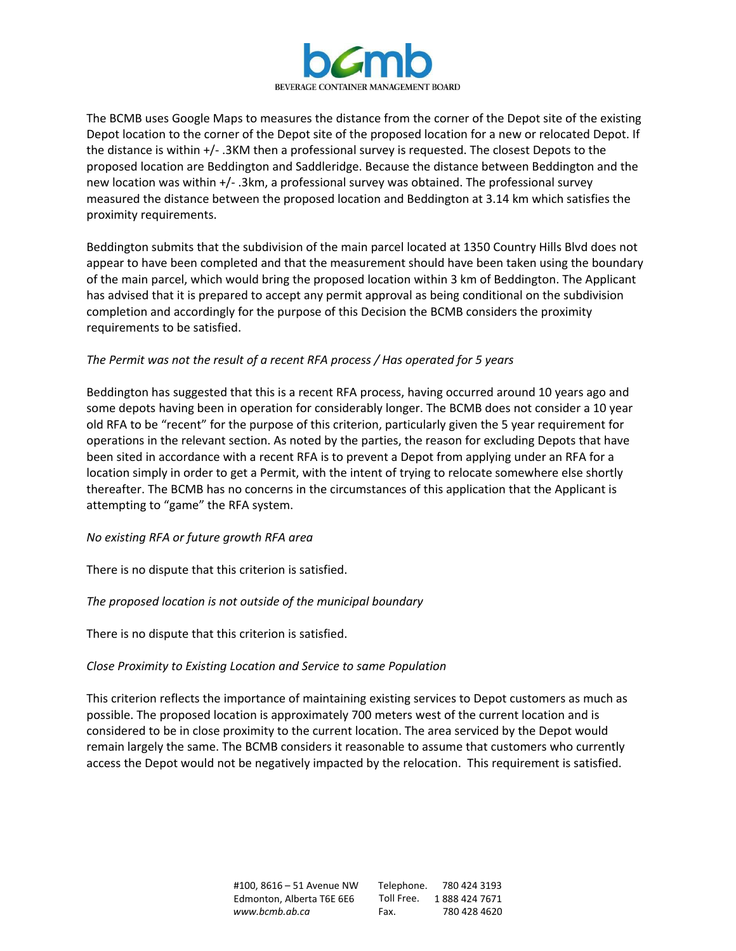

The BCMB uses Google Maps to measures the distance from the corner of the Depot site of the existing Depot location to the corner of the Depot site of the proposed location for a new or relocated Depot. If the distance is within +/- .3KM then a professional survey is requested. The closest Depots to the proposed location are Beddington and Saddleridge. Because the distance between Beddington and the new location was within +/- .3km, a professional survey was obtained. The professional survey measured the distance between the proposed location and Beddington at 3.14 km which satisfies the proximity requirements.

Beddington submits that the subdivision of the main parcel located at 1350 Country Hills Blvd does not appear to have been completed and that the measurement should have been taken using the boundary of the main parcel, which would bring the proposed location within 3 km of Beddington. The Applicant has advised that it is prepared to accept any permit approval as being conditional on the subdivision completion and accordingly for the purpose of this Decision the BCMB considers the proximity requirements to be satisfied.

### *The Permit was not the result of a recent RFA process / Has operated for 5 years*

Beddington has suggested that this is a recent RFA process, having occurred around 10 years ago and some depots having been in operation for considerably longer. The BCMB does not consider a 10 year old RFA to be "recent" for the purpose of this criterion, particularly given the 5 year requirement for operations in the relevant section. As noted by the parties, the reason for excluding Depots that have been sited in accordance with a recent RFA is to prevent a Depot from applying under an RFA for a location simply in order to get a Permit, with the intent of trying to relocate somewhere else shortly thereafter. The BCMB has no concerns in the circumstances of this application that the Applicant is attempting to "game" the RFA system.

### *No existing RFA or future growth RFA area*

There is no dispute that this criterion is satisfied.

### *The proposed location is not outside of the municipal boundary*

There is no dispute that this criterion is satisfied.

### *Close Proximity to Existing Location and Service to same Population*

This criterion reflects the importance of maintaining existing services to Depot customers as much as possible. The proposed location is approximately 700 meters west of the current location and is considered to be in close proximity to the current location. The area serviced by the Depot would remain largely the same. The BCMB considers it reasonable to assume that customers who currently access the Depot would not be negatively impacted by the relocation. This requirement is satisfied.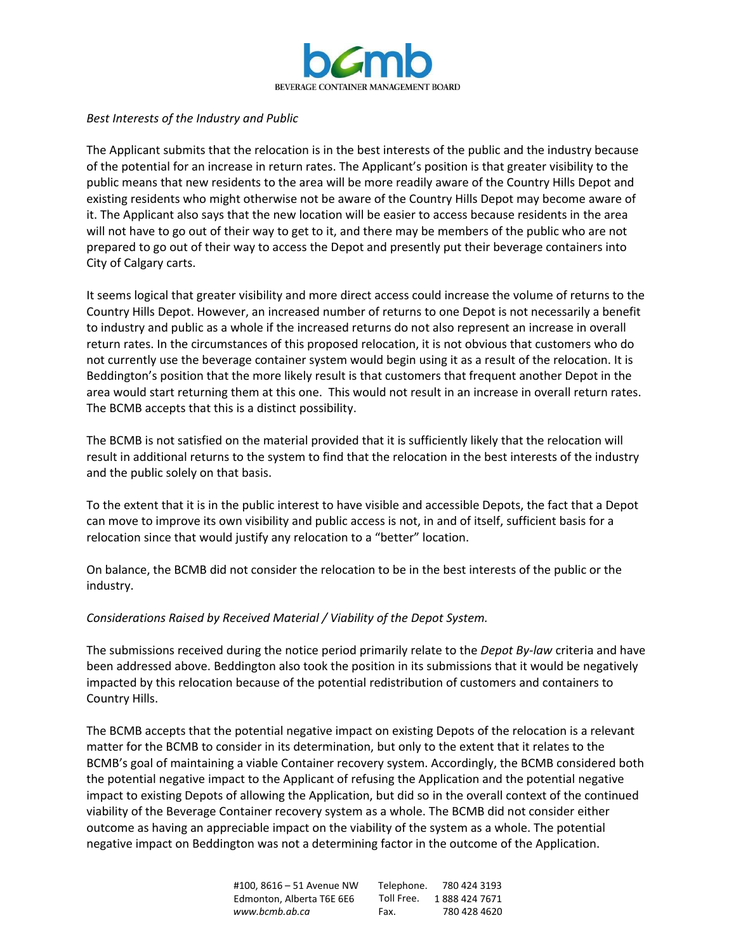

#### *Best Interests of the Industry and Public*

The Applicant submits that the relocation is in the best interests of the public and the industry because of the potential for an increase in return rates. The Applicant's position is that greater visibility to the public means that new residents to the area will be more readily aware of the Country Hills Depot and existing residents who might otherwise not be aware of the Country Hills Depot may become aware of it. The Applicant also says that the new location will be easier to access because residents in the area will not have to go out of their way to get to it, and there may be members of the public who are not prepared to go out of their way to access the Depot and presently put their beverage containers into City of Calgary carts.

It seems logical that greater visibility and more direct access could increase the volume of returns to the Country Hills Depot. However, an increased number of returns to one Depot is not necessarily a benefit to industry and public as a whole if the increased returns do not also represent an increase in overall return rates. In the circumstances of this proposed relocation, it is not obvious that customers who do not currently use the beverage container system would begin using it as a result of the relocation. It is Beddington's position that the more likely result is that customers that frequent another Depot in the area would start returning them at this one. This would not result in an increase in overall return rates. The BCMB accepts that this is a distinct possibility.

The BCMB is not satisfied on the material provided that it is sufficiently likely that the relocation will result in additional returns to the system to find that the relocation in the best interests of the industry and the public solely on that basis.

To the extent that it is in the public interest to have visible and accessible Depots, the fact that a Depot can move to improve its own visibility and public access is not, in and of itself, sufficient basis for a relocation since that would justify any relocation to a "better" location.

On balance, the BCMB did not consider the relocation to be in the best interests of the public or the industry.

#### *Considerations Raised by Received Material / Viability of the Depot System.*

The submissions received during the notice period primarily relate to the *Depot By-law* criteria and have been addressed above. Beddington also took the position in its submissions that it would be negatively impacted by this relocation because of the potential redistribution of customers and containers to Country Hills.

The BCMB accepts that the potential negative impact on existing Depots of the relocation is a relevant matter for the BCMB to consider in its determination, but only to the extent that it relates to the BCMB's goal of maintaining a viable Container recovery system. Accordingly, the BCMB considered both the potential negative impact to the Applicant of refusing the Application and the potential negative impact to existing Depots of allowing the Application, but did so in the overall context of the continued viability of the Beverage Container recovery system as a whole. The BCMB did not consider either outcome as having an appreciable impact on the viability of the system as a whole. The potential negative impact on Beddington was not a determining factor in the outcome of the Application.

| #100. 8616 – 51 Avenue NW | Telephone. | 780 424 3193  |
|---------------------------|------------|---------------|
| Edmonton. Alberta T6E 6E6 | Toll Free. | 1888 424 7671 |
| www.bcmb.ab.ca            | Fax.       | 780 428 4620  |